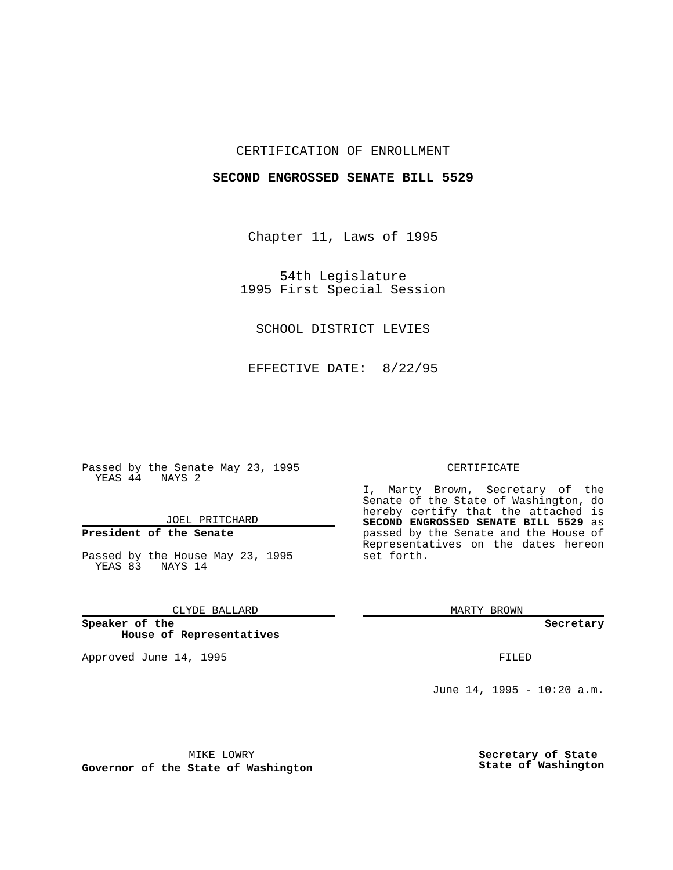## CERTIFICATION OF ENROLLMENT

## **SECOND ENGROSSED SENATE BILL 5529**

Chapter 11, Laws of 1995

54th Legislature 1995 First Special Session

SCHOOL DISTRICT LEVIES

EFFECTIVE DATE: 8/22/95

Passed by the Senate May 23, 1995 YEAS 44 NAYS 2

JOEL PRITCHARD

# **President of the Senate**

Passed by the House May 23, 1995 YEAS 83 NAYS 14

CLYDE BALLARD

**Speaker of the House of Representatives**

Approved June 14, 1995 **FILED** 

#### CERTIFICATE

I, Marty Brown, Secretary of the Senate of the State of Washington, do hereby certify that the attached is **SECOND ENGROSSED SENATE BILL 5529** as passed by the Senate and the House of Representatives on the dates hereon set forth.

MARTY BROWN

**Secretary**

June 14, 1995 - 10:20 a.m.

MIKE LOWRY

**Governor of the State of Washington**

**Secretary of State State of Washington**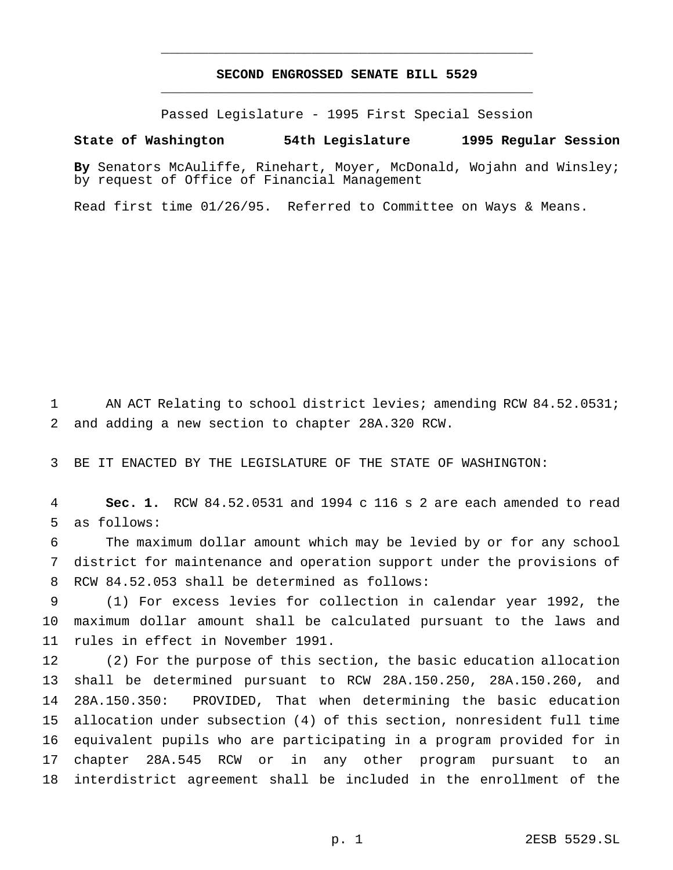## **SECOND ENGROSSED SENATE BILL 5529** \_\_\_\_\_\_\_\_\_\_\_\_\_\_\_\_\_\_\_\_\_\_\_\_\_\_\_\_\_\_\_\_\_\_\_\_\_\_\_\_\_\_\_\_\_\_\_

\_\_\_\_\_\_\_\_\_\_\_\_\_\_\_\_\_\_\_\_\_\_\_\_\_\_\_\_\_\_\_\_\_\_\_\_\_\_\_\_\_\_\_\_\_\_\_

Passed Legislature - 1995 First Special Session

#### **State of Washington 54th Legislature 1995 Regular Session**

**By** Senators McAuliffe, Rinehart, Moyer, McDonald, Wojahn and Winsley; by request of Office of Financial Management

Read first time 01/26/95. Referred to Committee on Ways & Means.

1 AN ACT Relating to school district levies; amending RCW 84.52.0531; and adding a new section to chapter 28A.320 RCW.

BE IT ENACTED BY THE LEGISLATURE OF THE STATE OF WASHINGTON:

 **Sec. 1.** RCW 84.52.0531 and 1994 c 116 s 2 are each amended to read as follows:

 The maximum dollar amount which may be levied by or for any school district for maintenance and operation support under the provisions of RCW 84.52.053 shall be determined as follows:

 (1) For excess levies for collection in calendar year 1992, the maximum dollar amount shall be calculated pursuant to the laws and rules in effect in November 1991.

 (2) For the purpose of this section, the basic education allocation shall be determined pursuant to RCW 28A.150.250, 28A.150.260, and 28A.150.350: PROVIDED, That when determining the basic education allocation under subsection (4) of this section, nonresident full time equivalent pupils who are participating in a program provided for in chapter 28A.545 RCW or in any other program pursuant to an interdistrict agreement shall be included in the enrollment of the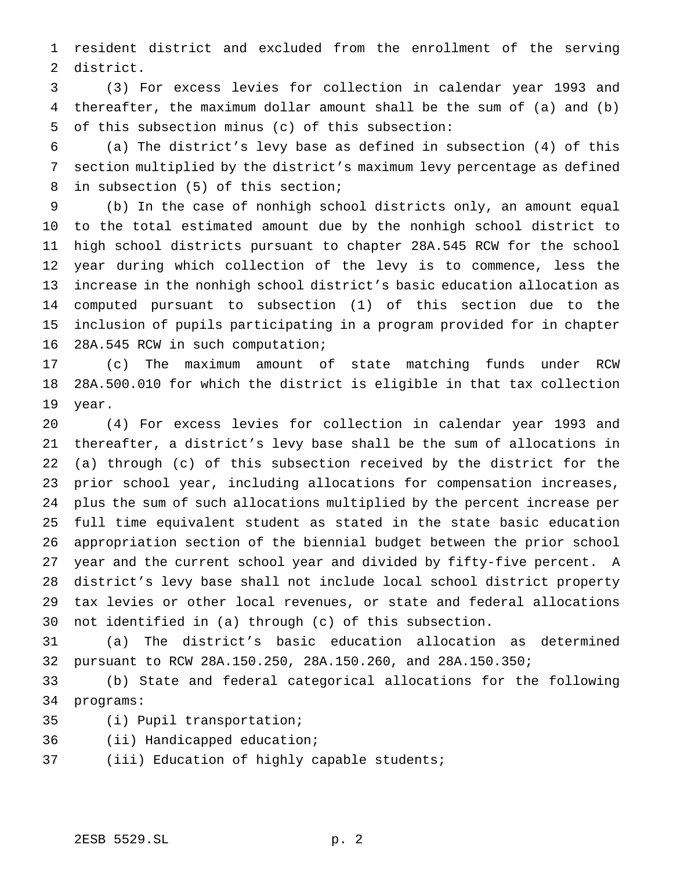resident district and excluded from the enrollment of the serving district.

 (3) For excess levies for collection in calendar year 1993 and thereafter, the maximum dollar amount shall be the sum of (a) and (b) of this subsection minus (c) of this subsection:

 (a) The district's levy base as defined in subsection (4) of this section multiplied by the district's maximum levy percentage as defined in subsection (5) of this section;

 (b) In the case of nonhigh school districts only, an amount equal to the total estimated amount due by the nonhigh school district to high school districts pursuant to chapter 28A.545 RCW for the school year during which collection of the levy is to commence, less the increase in the nonhigh school district's basic education allocation as computed pursuant to subsection (1) of this section due to the inclusion of pupils participating in a program provided for in chapter 28A.545 RCW in such computation;

 (c) The maximum amount of state matching funds under RCW 28A.500.010 for which the district is eligible in that tax collection year.

 (4) For excess levies for collection in calendar year 1993 and thereafter, a district's levy base shall be the sum of allocations in (a) through (c) of this subsection received by the district for the prior school year, including allocations for compensation increases, plus the sum of such allocations multiplied by the percent increase per full time equivalent student as stated in the state basic education appropriation section of the biennial budget between the prior school year and the current school year and divided by fifty-five percent. A district's levy base shall not include local school district property tax levies or other local revenues, or state and federal allocations not identified in (a) through (c) of this subsection.

 (a) The district's basic education allocation as determined pursuant to RCW 28A.150.250, 28A.150.260, and 28A.150.350;

 (b) State and federal categorical allocations for the following programs:

- (i) Pupil transportation;
- (ii) Handicapped education;
- (iii) Education of highly capable students;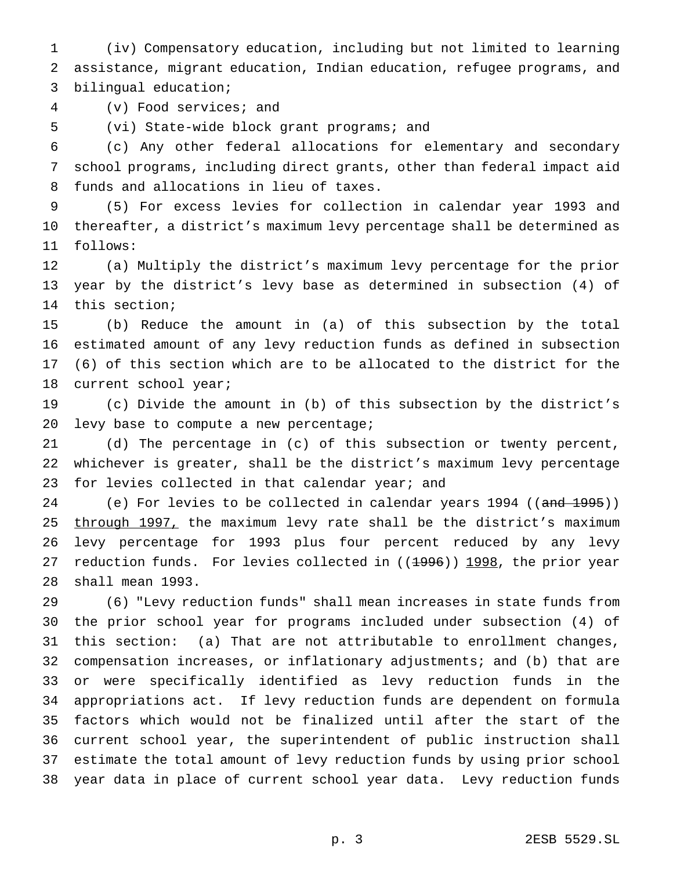(iv) Compensatory education, including but not limited to learning assistance, migrant education, Indian education, refugee programs, and bilingual education;

(v) Food services; and

(vi) State-wide block grant programs; and

 (c) Any other federal allocations for elementary and secondary school programs, including direct grants, other than federal impact aid funds and allocations in lieu of taxes.

 (5) For excess levies for collection in calendar year 1993 and thereafter, a district's maximum levy percentage shall be determined as follows:

 (a) Multiply the district's maximum levy percentage for the prior year by the district's levy base as determined in subsection (4) of this section;

 (b) Reduce the amount in (a) of this subsection by the total estimated amount of any levy reduction funds as defined in subsection (6) of this section which are to be allocated to the district for the 18 current school year;

 (c) Divide the amount in (b) of this subsection by the district's levy base to compute a new percentage;

 (d) The percentage in (c) of this subsection or twenty percent, whichever is greater, shall be the district's maximum levy percentage 23 for levies collected in that calendar year; and

24 (e) For levies to be collected in calendar years 1994 ((and 1995)) 25 through 1997, the maximum levy rate shall be the district's maximum levy percentage for 1993 plus four percent reduced by any levy 27 reduction funds. For levies collected in  $(1996)$ ) 1998, the prior year shall mean 1993.

 (6) "Levy reduction funds" shall mean increases in state funds from the prior school year for programs included under subsection (4) of this section: (a) That are not attributable to enrollment changes, compensation increases, or inflationary adjustments; and (b) that are or were specifically identified as levy reduction funds in the appropriations act. If levy reduction funds are dependent on formula factors which would not be finalized until after the start of the current school year, the superintendent of public instruction shall estimate the total amount of levy reduction funds by using prior school year data in place of current school year data. Levy reduction funds